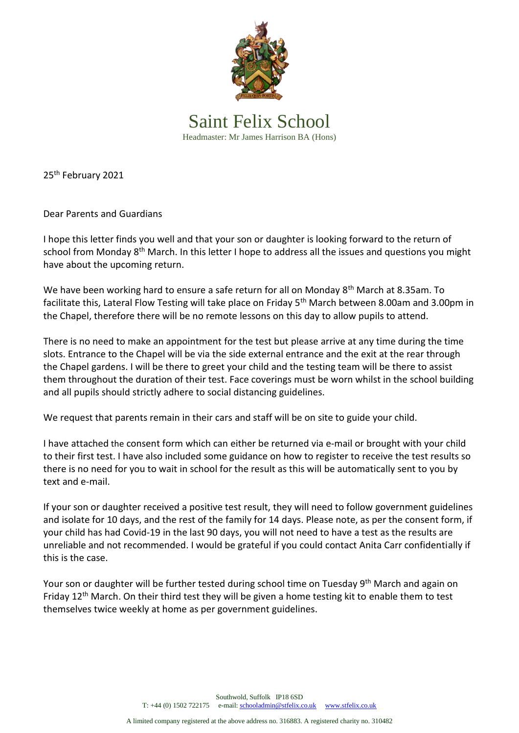

Saint Felix School Headmaster: Mr James Harrison BA (Hons)

25<sup>th</sup> February 2021

Dear Parents and Guardians

I hope this letter finds you well and that your son or daughter is looking forward to the return of school from Monday 8<sup>th</sup> March. In this letter I hope to address all the issues and questions you might have about the upcoming return.

We have been working hard to ensure a safe return for all on Monday 8<sup>th</sup> March at 8.35am. To facilitate this, Lateral Flow Testing will take place on Friday 5<sup>th</sup> March between 8.00am and 3.00pm in the Chapel, therefore there will be no remote lessons on this day to allow pupils to attend.

There is no need to make an appointment for the test but please arrive at any time during the time slots. Entrance to the Chapel will be via the side external entrance and the exit at the rear through the Chapel gardens. I will be there to greet your child and the testing team will be there to assist them throughout the duration of their test. Face coverings must be worn whilst in the school building and all pupils should strictly adhere to social distancing guidelines.

We request that parents remain in their cars and staff will be on site to guide your child.

I have attached the consent form which can either be returned via e-mail or brought with your child to their first test. I have also included some guidance on how to register to receive the test results so there is no need for you to wait in school for the result as this will be automatically sent to you by text and e-mail.

If your son or daughter received a positive test result, they will need to follow government guidelines and isolate for 10 days, and the rest of the family for 14 days. Please note, as per the consent form, if your child has had Covid-19 in the last 90 days, you will not need to have a test as the results are unreliable and not recommended. I would be grateful if you could contact Anita Carr confidentially if this is the case.

Your son or daughter will be further tested during school time on Tuesday 9<sup>th</sup> March and again on Friday  $12<sup>th</sup>$  March. On their third test they will be given a home testing kit to enable them to test themselves twice weekly at home as per government guidelines.